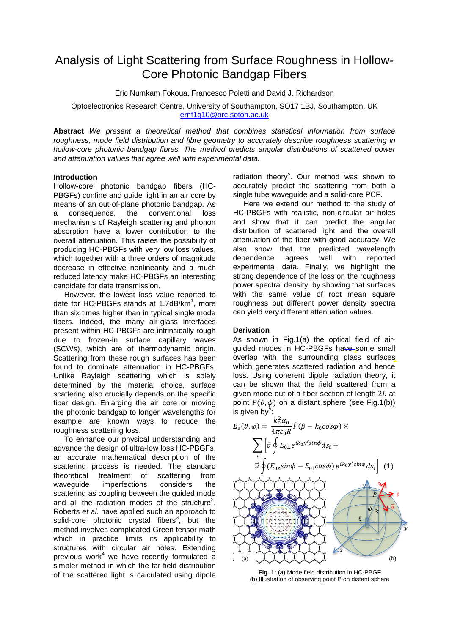# Analysis of Light Scattering from Surface Roughness in Hollow-Core Photonic Bandgap Fibers

Eric Numkam Fokoua, Francesco Poletti and David J. Richardson

Optoelectronics Research Centre, University of Southampton, SO17 1BJ, Southampton, UK [ernf1g10@orc.soton.ac.uk](mailto:ernf1g10@orc.soton.ac.uk)

**Abstract** *We present a theoretical method that combines statistical information from surface roughness, mode field distribution and fibre geometry to accurately describe roughness scattering in hollow-core photonic bandgap fibres. The method predicts angular distributions of scattered power and attenuation values that agree well with experimental data.*

## **Introduction**

Hollow-core photonic bandgap fibers (HC-PBGFs) confine and guide light in an air core by means of an out-of-plane photonic bandgap. As a consequence, the conventional loss mechanisms of Rayleigh scattering and phonon absorption have a lower contribution to the overall attenuation. This raises the possibility of producing HC-PBGFs with very low loss values, which together with a three orders of magnitude decrease in effective nonlinearity and a much reduced latency make HC-PBGFs an interesting candidate for data transmission.

However, the lowest loss value reported to date for HC-PBGFs stands at 1.7dB/km<sup>1</sup>, more than six times higher than in typical single mode fibers. Indeed, the many air-glass interfaces present within HC-PBGFs are intrinsically rough due to frozen-in surface capillary waves (SCWs), which are of thermodynamic origin. Scattering from these rough surfaces has been found to dominate attenuation in HC-PBGFs. Unlike Rayleigh scattering which is solely determined by the material choice, surface scattering also crucially depends on the specific fiber design. Enlarging the air core or moving the photonic bandgap to longer wavelengths for example are known ways to reduce the roughness scattering loss.

To enhance our physical understanding and advance the design of ultra-low loss HC-PBGFs, an accurate mathematical description of the scattering process is needed. The standard theoretical treatment of scattering from waveguide imperfections considers the scattering as coupling between the guided mode and all the radiation modes of the structure<sup>2</sup>. Roberts *et al.* have applied such an approach to solid-core photonic crystal fibers<sup>3</sup>, but the method involves complicated Green tensor math which in practice limits its applicability to structures with circular air holes. Extending previous work<sup>4</sup> we have recently formulated a simpler method in which the far-field distribution of the scattered light is calculated using dipole

radiation theory<sup>5</sup>. Our method was shown to accurately predict the scattering from both a single tube waveguide and a solid-core PCF.

Here we extend our method to the study of HC-PBGFs with realistic, non-circular air holes and show that it can predict the angular distribution of scattered light and the overall attenuation of the fiber with good accuracy. We also show that the predicted wavelength dependence agrees well with reported experimental data. Finally, we highlight the strong dependence of the loss on the roughness power spectral density, by showing that surfaces with the same value of root mean square roughness but different power density spectra can yield very different attenuation values.

#### **Derivation**

As shown in Fig.1(a) the optical field of airguided modes in HC-PBGFs have some small overlap with the surrounding glass surfaces which generates scattered radiation and hence loss. Using coherent dipole radiation theory, it can be shown that the field scattered from a given mode out of a fiber section of length  $2L$  at point  $P(\vartheta, \phi)$  on a distant sphere (see Fig.1(b)) is given by  $\frac{b}{k^2}$ 

$$
E_{s}(\vartheta,\varphi) = \frac{k_{0}^{2}\alpha_{0}}{4\pi\epsilon_{0}R}\tilde{F}(\beta - k_{0}cos\phi) \times \sum_{i} \left[\vec{v}\oint E_{0\perp}e^{ik_{0}y'sin\phi}ds_{i} + \vec{u}\oint(E_{0z}sin\phi - E_{0\parallel}cos\phi)e^{ik_{0}y'sin\phi}ds_{i}\right] (1)
$$

**Fig. 1:** (a) Mode field distribution in HC-PBGF (b) Illustration of observing point P on distant sphere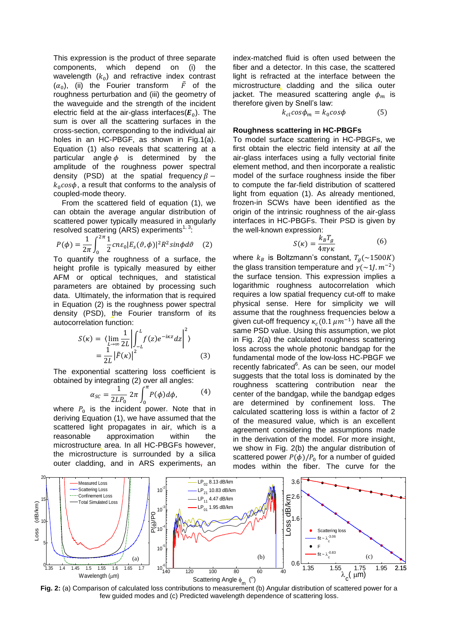This expression is the product of three separate components, which depend on (i) the wavelength  $(k_0)$  and refractive index contrast  $(\alpha_0)$ , (ii) the Fourier transform  $\tilde{F}$  of the roughness perturbation and (iii) the geometry of the waveguide and the strength of the incident electric field at the air-glass interfaces( $E_0$ ). The sum is over all the scattering surfaces in the cross-section, corresponding to the individual air holes in an HC-PBGF, as shown in Fig.1(a). Equation (1) also reveals that scattering at a particular angle  $\phi$  is determined by the amplitude of the roughness power spectral density (PSD) at the spatial frequency  $\beta$  –  $k_0 \cos \phi$ , a result that conforms to the analysis of coupled-mode theory.

 From the scattered field of equation (1), we can obtain the average angular distribution of scattered power typically measured in angularly resolved scattering  $(ARS)$  experiments<sup>1, 3</sup>:

$$
P(\phi) = \frac{1}{2\pi} \int_0^{2\pi} \frac{1}{2} c n \varepsilon_0 |E_s(\vartheta, \phi)|^2 R^2 \sin\phi d\vartheta \quad (2)
$$

 $\frac{2\pi}{J_0}$   $\frac{2}{J_0}$   $\frac{2}{J_0}$  roughness of a surface, the height profile is typically measured by either AFM or optical techniques, and statistical parameters are obtained by processing such data. Ultimately, the information that is required in Equation (2) is the roughness power spectral density (PSD), the Fourier transform of its autocorrelation function:

$$
S(\kappa) = \left\langle \lim_{L \to \infty} \frac{1}{2L} \left| \int_{-L}^{L} f(z) e^{-ikz} dz \right|^{2} \right\rangle
$$
  
= 
$$
\frac{1}{2L} \left| \tilde{F}(\kappa) \right|^{2}
$$
(3)

The exponential scattering loss coefficient is obtained by integrating (2) over all angles:

$$
\alpha_{SC} = \frac{1}{2LP_0} 2\pi \int_0^{\pi} P(\phi) d\phi, \qquad (4)
$$

where  $P_0$  is the incident power. Note that in deriving Equation (1), we have assumed that the scattered light propagates in air, which is a reasonable approximation within the microstructure area. In all HC-PBGFs however, the microstructure is surrounded by a silica outer cladding, and in ARS experiments, an

index-matched fluid is often used between the fiber and a detector. In this case, the scattered light is refracted at the interface between the microstructure cladding and the silica outer jacket. The measured scattering angle  $\phi_m$  is therefore given by Snell's law:

$$
k_{cl} \cos \phi_m = k_0 \cos \phi \tag{5}
$$

#### **Roughness scattering in HC-PBGFs**

To model surface scattering in HC-PBGFs, we first obtain the electric field intensity at *all* the air-glass interfaces using a fully vectorial finite element method, and then incorporate a realistic model of the surface roughness inside the fiber to compute the far-field distribution of scattered light from equation (1). As already mentioned, frozen-in SCWs have been identified as the origin of the intrinsic roughness of the air-glass interfaces in HC-PBGFs. Their PSD is given by the well-known expression:

$$
S(\kappa) = \frac{k_B T_g}{4\pi \gamma \kappa} \tag{6}
$$

where  $k_B$  is Boltzmann's constant,  $T_g(\sim 1500K)$ the glass transition temperature and  $\gamma(\sim 11. m^{-2})$ the surface tension. This expression implies a logarithmic roughness autocorrelation which requires a low spatial frequency cut-off to make physical sense. Here for simplicity we will assume that the roughness frequencies below a given cut-off frequency  $\kappa_c(0.1 \ \mu m^{-1})$  have all the same PSD value. Using this assumption, we plot in Fig. 2(a) the calculated roughness scattering loss across the whole photonic bandgap for the fundamental mode of the low-loss HC-PBGF we recently fabricated<sup>6</sup>. As can be seen, our model suggests that the total loss is dominated by the roughness scattering contribution near the center of the bandgap, while the bandgap edges are determined by confinement loss. The calculated scattering loss is within a factor of 2 of the measured value, which is an excellent agreement considering the assumptions made in the derivation of the model. For more insight, we show in Fig. 2(b) the angular distribution of scattered power  $P(\phi)/P_0$  for a number of guided modes within the fiber. The curve for the



**Fig. 2:** (a) Comparison of calculated loss contributions to measurement (b) Angular distribution of scattered power for a few guided modes and (c) Predicted wavelength dependence of scattering loss.